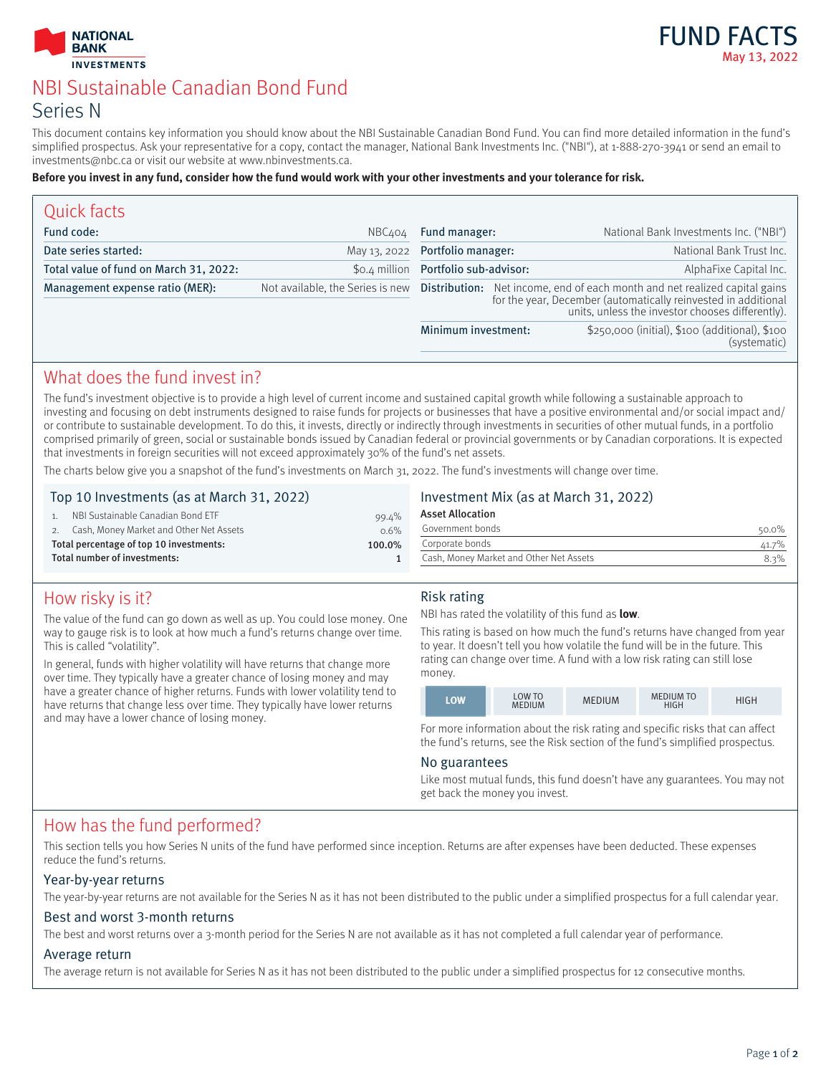



# NBI Sustainable Canadian Bond Fund Series N

This document contains key information you should know about the NBI Sustainable Canadian Bond Fund. You can find more detailed information in the fund's simplified prospectus. Ask your representative for a copy, contact the manager, National Bank Investments Inc. ("NBI"), at 1-888-270-3941 or send an email to investments@nbc.ca or visit our website at www.nbinvestments.ca.

#### **Before you invest in any fund, consider how the fund would work with your other investments and your tolerance for risk.**

| Quick facts                            |              |                                      |                                                                                                                                                                                                                                   |
|----------------------------------------|--------------|--------------------------------------|-----------------------------------------------------------------------------------------------------------------------------------------------------------------------------------------------------------------------------------|
| Fund code:                             | NBC404       | Fund manager:                        | National Bank Investments Inc. ("NBI")                                                                                                                                                                                            |
| Date series started:                   | May 13, 2022 | Portfolio manager:                   | National Bank Trust Inc.                                                                                                                                                                                                          |
| Total value of fund on March 31, 2022: |              | \$0.4 million Portfolio sub-advisor: | AlphaFixe Capital Inc.                                                                                                                                                                                                            |
| Management expense ratio (MER):        |              |                                      | Not available, the Series is new Distribution: Net income, end of each month and net realized capital gains<br>for the year, December (automatically reinvested in additional<br>units, unless the investor chooses differently). |
|                                        |              | Minimum investment:                  | \$250,000 (initial), \$100 (additional), \$100<br>(systematic)                                                                                                                                                                    |
|                                        |              |                                      |                                                                                                                                                                                                                                   |

### What does the fund invest in?

The fund's investment objective is to provide a high level of current income and sustained capital growth while following a sustainable approach to investing and focusing on debt instruments designed to raise funds for projects or businesses that have a positive environmental and/or social impact and/ or contribute to sustainable development. To do this, it invests, directly or indirectly through investments in securities of other mutual funds, in a portfolio comprised primarily of green, social or sustainable bonds issued by Canadian federal or provincial governments or by Canadian corporations. It is expected that investments in foreign securities will not exceed approximately 30% of the fund's net assets.

The charts below give you a snapshot of the fund's investments on March 31, 2022. The fund's investments will change over time.

### Top 10 Investments (as at March 31, 2022)

|                                                   | NBI Sustainable Canadian Bond ETF       | 99.4% |
|---------------------------------------------------|-----------------------------------------|-------|
|                                                   | Cash, Money Market and Other Net Assets | 0.6%  |
| Total percentage of top 10 investments:<br>100.0% |                                         |       |
| Total number of investments:                      |                                         |       |

### Investment Mix (as at March 31, 2022)

| <b>Asset Allocation</b>                 |       |  |
|-----------------------------------------|-------|--|
| Government bonds                        | 50.0% |  |
| Corporate bonds                         | 41.7% |  |
| Cash, Money Market and Other Net Assets | 8.3%  |  |
|                                         |       |  |

# How risky is it?

The value of the fund can go down as well as up. You could lose money. One way to gauge risk is to look at how much a fund's returns change over time. This is called "volatility".

In general, funds with higher volatility will have returns that change more over time. They typically have a greater chance of losing money and may have a greater chance of higher returns. Funds with lower volatility tend to have returns that change less over time. They typically have lower returns and may have a lower chance of losing money.

### Risk rating

NBI has rated the volatility of this fund as **low**.

This rating is based on how much the fund's returns have changed from year to year. It doesn't tell you how volatile the fund will be in the future. This rating can change over time. A fund with a low risk rating can still lose money.

|--|

For more information about the risk rating and specific risks that can affect the fund's returns, see the Risk section of the fund's simplified prospectus.

### No guarantees

Like most mutual funds, this fund doesn't have any guarantees. You may not get back the money you invest.

### How has the fund performed?

This section tells you how Series N units of the fund have performed since inception. Returns are after expenses have been deducted. These expenses reduce the fund's returns.

### Year-by-year returns

The year-by-year returns are not available for the Series N as it has not been distributed to the public under a simplified prospectus for a full calendar year.

### Best and worst 3-month returns

The best and worst returns over a 3-month period for the Series N are not available as it has not completed a full calendar year of performance.

### Average return

The average return is not available for Series N as it has not been distributed to the public under a simplified prospectus for 12 consecutive months.